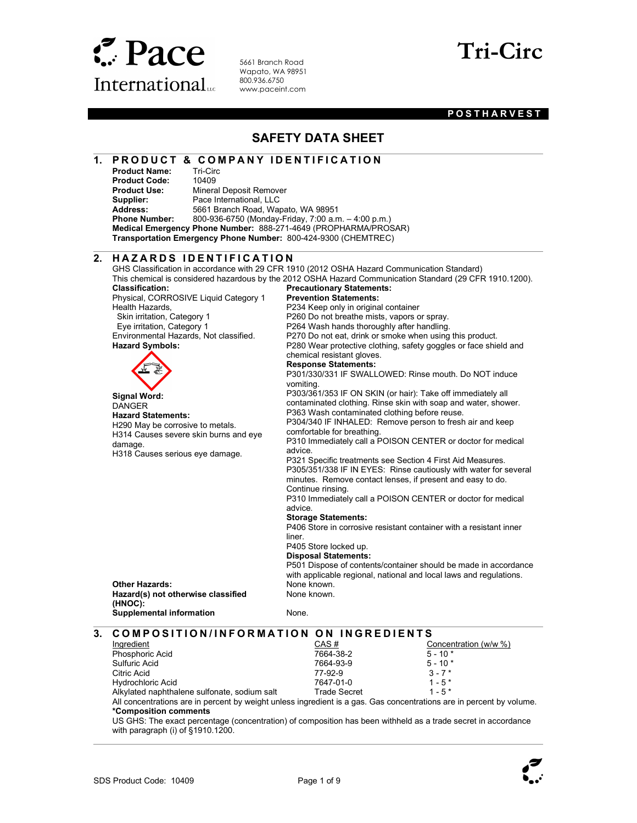

Product Name:

 $\overline{a}$ 

5661 Branch Road Wapato, WA 98951 800.936.6750 www.paceint.com

1. PRODUCT & COMPANY IDENTIFICATION<br>Product Name: Tri-Circ



### **POSTHARVEST**

### SAFETY DATA SHEET

### **Product Code:** 10409<br>**Product Use:** Minera **Mineral Deposit Remover** Supplier: Pace International, LLC<br>
Address: 5661 Branch Road, War 5661 Branch Road, Wapato, WA 98951 Phone Number: 800-936-6750 (Monday-Friday, 7:00 a.m. – 4:00 p.m.) Medical Emergency Phone Number: 888-271-4649 (PROPHARMA/PROSAR) Transportation Emergency Phone Number: 800-424-9300 (CHEMTREC)  $\overline{a}$ 2. HAZARDS IDENTIFICATION GHS Classification in accordance with 29 CFR 1910 (2012 OSHA Hazard Communication Standard) This chemical is considered hazardous by the 2012 OSHA Hazard Communication Standard (29 CFR 1910.1200). Classification: Physical, CORROSIVE Liquid Category 1 Health Hazards, Skin irritation, Category 1 Eye irritation, Category 1 Environmental Hazards, Not classified. Precautionary Statements: Prevention Statements: P234 Keep only in original container P260 Do not breathe mists, vapors or spray. P264 Wash hands thoroughly after handling. P270 Do not eat, drink or smoke when using this product. P280 Wear protective clothing, safety goggles or face shield and chemical resistant gloves. Response Statements: P301/330/331 IF SWALLOWED: Rinse mouth. Do NOT induce vomiting. P303/361/353 IF ON SKIN (or hair): Take off immediately all contaminated clothing. Rinse skin with soap and water, shower. P363 Wash contaminated clothing before reuse. P304/340 IF INHALED: Remove person to fresh air and keep comfortable for breathing. P310 Immediately call a POISON CENTER or doctor for medical advice. P321 Specific treatments see Section 4 First Aid Measures. P305/351/338 IF IN EYES: Rinse cautiously with water for several minutes. Remove contact lenses, if present and easy to do. Continue rinsing. P310 Immediately call a POISON CENTER or doctor for medical advice. Storage Statements: P406 Store in corrosive resistant container with a resistant inner liner. P405 Store locked up. Disposal Statements: P501 Dispose of contents/container should be made in accordance with applicable regional, national and local laws and regulations. Hazard Symbols: Signal Word: DANGER Hazard Statements: H290 May be corrosive to metals. H314 Causes severe skin burns and eye damage. H318 Causes serious eye damage. Other Hazards: None known. Hazard(s) not otherwise classified (HNOC): None known. Supplemental information **None.** None.  $\overline{a}$ 3. COMPOSITION/INFORMATION ON INGREDIENTS **Ingredient** Phosphoric Acid Sulfuric Acid Citric Acid CAS # 7664-38-2 7664-93-9 77-92-9 Concentration (w/w %)  $5 - 10*$  $5 - 10*$  $3 - 7$  \*

Hydrochloric Acid Alkylated naphthalene sulfonate, sodium salt 7647-01-0 Trade Secret  $1 - 5*$  $1 - 5*$ All concentrations are in percent by weight unless ingredient is a gas. Gas concentrations are in percent by volume. \*Composition comments

US GHS: The exact percentage (concentration) of composition has been withheld as a trade secret in accordance with paragraph (i) of §1910.1200.

 $\overline{\phantom{a}}$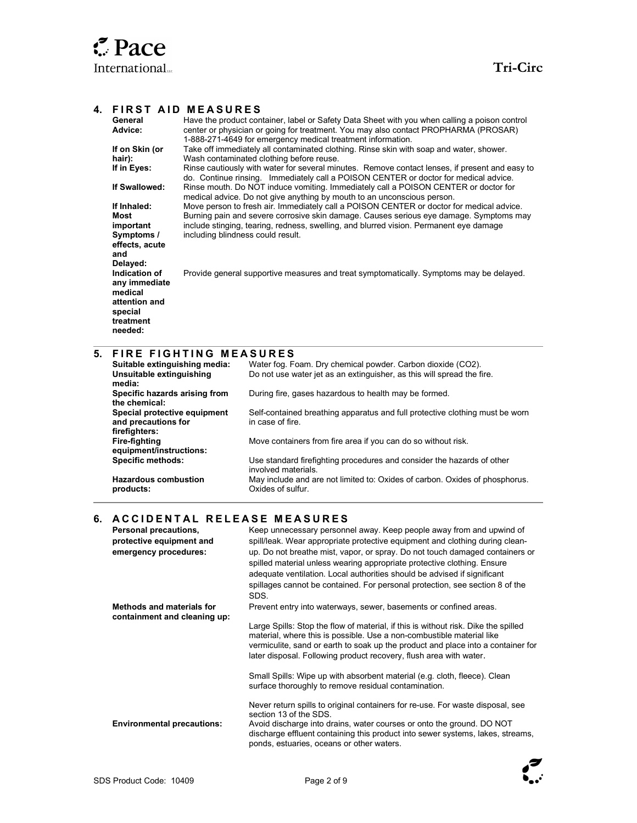### 4. FIRST AID MEASURES

|                                     | General<br>Advice:                             |                                   | Have the product container, label or Safety Data Sheet with you when calling a poison control<br>center or physician or going for treatment. You may also contact PROPHARMA (PROSAR)   |  |  |
|-------------------------------------|------------------------------------------------|-----------------------------------|----------------------------------------------------------------------------------------------------------------------------------------------------------------------------------------|--|--|
|                                     | If on Skin (or                                 |                                   | 1-888-271-4649 for emergency medical treatment information.<br>Take off immediately all contaminated clothing. Rinse skin with soap and water, shower.                                 |  |  |
|                                     | hair):                                         |                                   | Wash contaminated clothing before reuse.                                                                                                                                               |  |  |
|                                     | If in Eyes:                                    |                                   | Rinse cautiously with water for several minutes. Remove contact lenses, if present and easy to<br>do. Continue rinsing. Immediately call a POISON CENTER or doctor for medical advice. |  |  |
|                                     | If Swallowed:                                  |                                   | Rinse mouth. Do NOT induce vomiting. Immediately call a POISON CENTER or doctor for<br>medical advice. Do not give anything by mouth to an unconscious person.                         |  |  |
|                                     | If Inhaled:                                    |                                   | Move person to fresh air. Immediately call a POISON CENTER or doctor for medical advice.                                                                                               |  |  |
|                                     | Most                                           |                                   | Burning pain and severe corrosive skin damage. Causes serious eye damage. Symptoms may<br>include stinging, tearing, redness, swelling, and blurred vision. Permanent eye damage       |  |  |
|                                     | important                                      |                                   |                                                                                                                                                                                        |  |  |
|                                     | Symptoms /                                     | including blindness could result. |                                                                                                                                                                                        |  |  |
|                                     | effects, acute<br>and                          |                                   |                                                                                                                                                                                        |  |  |
|                                     | Delayed:                                       |                                   |                                                                                                                                                                                        |  |  |
|                                     | Indication of                                  |                                   | Provide general supportive measures and treat symptomatically. Symptoms may be delayed.                                                                                                |  |  |
|                                     | any immediate                                  |                                   |                                                                                                                                                                                        |  |  |
|                                     | medical                                        |                                   |                                                                                                                                                                                        |  |  |
|                                     | attention and                                  |                                   |                                                                                                                                                                                        |  |  |
|                                     | special                                        |                                   |                                                                                                                                                                                        |  |  |
|                                     | treatment<br>needed:                           |                                   |                                                                                                                                                                                        |  |  |
|                                     |                                                |                                   |                                                                                                                                                                                        |  |  |
| 5.<br><b>FIRE FIGHTING MEASURES</b> |                                                |                                   |                                                                                                                                                                                        |  |  |
|                                     | Suitable extinguishing media:                  |                                   | Water fog. Foam. Dry chemical powder. Carbon dioxide (CO2).                                                                                                                            |  |  |
|                                     | Unsuitable extinguishing                       |                                   | Do not use water jet as an extinguisher, as this will spread the fire.                                                                                                                 |  |  |
|                                     | media:                                         |                                   |                                                                                                                                                                                        |  |  |
|                                     | Specific hazards arising from<br>the chemical: |                                   | During fire, gases hazardous to health may be formed.                                                                                                                                  |  |  |
|                                     | Special protective equipment                   |                                   | Self-contained breathing apparatus and full protective clothing must be worn                                                                                                           |  |  |
|                                     | and precautions for                            |                                   | in case of fire.                                                                                                                                                                       |  |  |
|                                     | firefighters:<br>Fire-fighting                 |                                   | Move containers from fire area if you can do so without risk.                                                                                                                          |  |  |
|                                     | equipment/instructions:                        |                                   |                                                                                                                                                                                        |  |  |
|                                     | <b>Specific methods:</b>                       |                                   | Use standard firefighting procedures and consider the hazards of other<br>involved materials.                                                                                          |  |  |
|                                     | <b>Hazardous combustion</b><br>products:       |                                   | May include and are not limited to: Oxides of carbon. Oxides of phosphorus.<br>Oxides of sulfur.                                                                                       |  |  |
|                                     |                                                |                                   |                                                                                                                                                                                        |  |  |
| 6.                                  |                                                |                                   | ACCIDENTAL RELEASE MEASURES                                                                                                                                                            |  |  |
|                                     | Personal precautions,                          |                                   | Keep unnecessary personnel away. Keep people away from and upwind of                                                                                                                   |  |  |
|                                     | protective equipment and                       |                                   | spill/leak. Wear appropriate protective equipment and clothing during clean-                                                                                                           |  |  |
|                                     | emergency procedures:                          |                                   | up. Do not breathe mist, vapor, or spray. Do not touch damaged containers or                                                                                                           |  |  |
|                                     |                                                |                                   | spilled material unless wearing appropriate protective clothing. Ensure                                                                                                                |  |  |
|                                     |                                                |                                   | adequate ventilation. Local authorities should be advised if significant                                                                                                               |  |  |
|                                     |                                                |                                   | spillages cannot be contained. For personal protection, see section 8 of the<br>SDS.                                                                                                   |  |  |
|                                     | <b>Methods and materials for</b>               |                                   | Prevent entry into waterways, sewer, basements or confined areas.                                                                                                                      |  |  |

Large Spills: Stop the flow of material, if this is without risk. Dike the spilled material, where this is possible. Use a non-combustible material like vermiculite, sand or earth to soak up the product and place into a container for later disposal. Following product recovery, flush area with water.

Small Spills: Wipe up with absorbent material (e.g. cloth, fleece). Clean surface thoroughly to remove residual contamination.

### Never return spills to original containers for re-use. For waste disposal, see section 13 of the SDS. Environmental precautions: Avoid discharge into drains, water courses or onto the ground. DO NOT discharge effluent containing this product into sewer systems, lakes, streams, ponds, estuaries, oceans or other waters.



containment and cleaning up: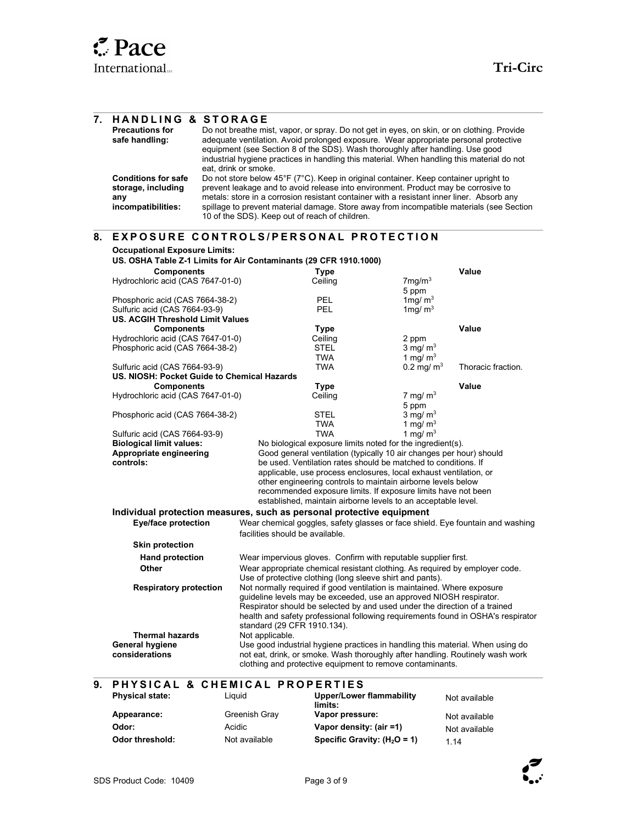| 7. | <b>HANDLING &amp; STORAGE</b><br><b>Precautions for</b><br>safe handling:     | eat, drink or smoke. | Do not breathe mist, vapor, or spray. Do not get in eyes, on skin, or on clothing. Provide<br>adequate ventilation. Avoid prolonged exposure. Wear appropriate personal protective<br>equipment (see Section 8 of the SDS). Wash thoroughly after handling. Use good<br>industrial hygiene practices in handling this material. When handling this material do not                                                    |                          |                    |
|----|-------------------------------------------------------------------------------|----------------------|-----------------------------------------------------------------------------------------------------------------------------------------------------------------------------------------------------------------------------------------------------------------------------------------------------------------------------------------------------------------------------------------------------------------------|--------------------------|--------------------|
|    | <b>Conditions for safe</b><br>storage, including<br>any<br>incompatibilities: |                      | Do not store below 45°F (7°C). Keep in original container. Keep container upright to<br>prevent leakage and to avoid release into environment. Product may be corrosive to<br>metals: store in a corrosion resistant container with a resistant inner liner. Absorb any<br>spillage to prevent material damage. Store away from incompatible materials (see Section<br>10 of the SDS). Keep out of reach of children. |                          |                    |
| 8. |                                                                               |                      | <b>EXPOSURE CONTROLS/PERSONAL PROTECTION</b>                                                                                                                                                                                                                                                                                                                                                                          |                          |                    |
|    | <b>Occupational Exposure Limits:</b>                                          |                      | US. OSHA Table Z-1 Limits for Air Contaminants (29 CFR 1910.1000)                                                                                                                                                                                                                                                                                                                                                     |                          |                    |
|    | <b>Components</b>                                                             |                      | Type                                                                                                                                                                                                                                                                                                                                                                                                                  |                          | Value              |
|    | Hydrochloric acid (CAS 7647-01-0)                                             |                      | Ceiling                                                                                                                                                                                                                                                                                                                                                                                                               | $7$ mg/m $3$<br>5 ppm    |                    |
|    | Phosphoric acid (CAS 7664-38-2)<br>Sulfuric acid (CAS 7664-93-9)              |                      | <b>PEL</b><br>PEL.                                                                                                                                                                                                                                                                                                                                                                                                    | 1 mg/ $m3$<br>1 mg/ $m3$ |                    |
|    | <b>US. ACGIH Threshold Limit Values</b>                                       |                      |                                                                                                                                                                                                                                                                                                                                                                                                                       |                          |                    |
|    | <b>Components</b>                                                             |                      | Type                                                                                                                                                                                                                                                                                                                                                                                                                  |                          | Value              |
|    | Hydrochloric acid (CAS 7647-01-0)                                             |                      | Ceiling                                                                                                                                                                                                                                                                                                                                                                                                               | 2 ppm                    |                    |
|    | Phosphoric acid (CAS 7664-38-2)                                               |                      | STEL                                                                                                                                                                                                                                                                                                                                                                                                                  | $3 \text{ mg/m}^3$       |                    |
|    |                                                                               |                      | TWA                                                                                                                                                                                                                                                                                                                                                                                                                   | 1 mg/ $m3$               |                    |
|    | Sulfuric acid (CAS 7664-93-9)<br>US. NIOSH: Pocket Guide to Chemical Hazards  |                      | <b>TWA</b>                                                                                                                                                                                                                                                                                                                                                                                                            | $0.2 \,\mathrm{mg/m^3}$  | Thoracic fraction. |
|    | <b>Components</b>                                                             |                      | <b>Type</b>                                                                                                                                                                                                                                                                                                                                                                                                           |                          | Value              |
|    | Hydrochloric acid (CAS 7647-01-0)                                             |                      | Ceiling                                                                                                                                                                                                                                                                                                                                                                                                               | 7 mg/ $m3$               |                    |
|    |                                                                               |                      |                                                                                                                                                                                                                                                                                                                                                                                                                       | 5 ppm                    |                    |
|    | Phosphoric acid (CAS 7664-38-2)                                               |                      | STEL                                                                                                                                                                                                                                                                                                                                                                                                                  | $3 \text{ mg/m}^3$       |                    |
|    |                                                                               |                      | TWA                                                                                                                                                                                                                                                                                                                                                                                                                   | 1 mg/ $m3$               |                    |
|    | Sulfuric acid (CAS 7664-93-9)                                                 |                      | <b>TWA</b>                                                                                                                                                                                                                                                                                                                                                                                                            | 1 mg/ $m3$               |                    |
|    | <b>Biological limit values:</b>                                               |                      | No biological exposure limits noted for the ingredient(s).                                                                                                                                                                                                                                                                                                                                                            |                          |                    |
|    | Appropriate engineering                                                       |                      | Good general ventilation (typically 10 air changes per hour) should                                                                                                                                                                                                                                                                                                                                                   |                          |                    |
|    | controls:                                                                     |                      | be used. Ventilation rates should be matched to conditions. If                                                                                                                                                                                                                                                                                                                                                        |                          |                    |
|    |                                                                               |                      | applicable, use process enclosures, local exhaust ventilation, or                                                                                                                                                                                                                                                                                                                                                     |                          |                    |
|    |                                                                               |                      | other engineering controls to maintain airborne levels below                                                                                                                                                                                                                                                                                                                                                          |                          |                    |
|    |                                                                               |                      | recommended exposure limits. If exposure limits have not been                                                                                                                                                                                                                                                                                                                                                         |                          |                    |
|    |                                                                               |                      | established, maintain airborne levels to an acceptable level.                                                                                                                                                                                                                                                                                                                                                         |                          |                    |
|    |                                                                               |                      |                                                                                                                                                                                                                                                                                                                                                                                                                       |                          |                    |
|    |                                                                               |                      | Individual protection measures, such as personal protective equipment                                                                                                                                                                                                                                                                                                                                                 |                          |                    |
|    | <b>Eye/face protection</b>                                                    |                      | Wear chemical goggles, safety glasses or face shield. Eye fountain and washing                                                                                                                                                                                                                                                                                                                                        |                          |                    |
|    |                                                                               |                      | facilities should be available.                                                                                                                                                                                                                                                                                                                                                                                       |                          |                    |
|    | <b>Skin protection</b>                                                        |                      |                                                                                                                                                                                                                                                                                                                                                                                                                       |                          |                    |
|    | <b>Hand protection</b>                                                        |                      | Wear impervious gloves. Confirm with reputable supplier first.                                                                                                                                                                                                                                                                                                                                                        |                          |                    |
|    |                                                                               |                      |                                                                                                                                                                                                                                                                                                                                                                                                                       |                          |                    |
|    | Other                                                                         |                      | Wear appropriate chemical resistant clothing. As required by employer code.                                                                                                                                                                                                                                                                                                                                           |                          |                    |
|    |                                                                               |                      | Use of protective clothing (long sleeve shirt and pants).                                                                                                                                                                                                                                                                                                                                                             |                          |                    |
|    | <b>Respiratory protection</b>                                                 |                      | Not normally required if good ventilation is maintained. Where exposure                                                                                                                                                                                                                                                                                                                                               |                          |                    |
|    |                                                                               |                      | guideline levels may be exceeded, use an approved NIOSH respirator.                                                                                                                                                                                                                                                                                                                                                   |                          |                    |
|    |                                                                               |                      | Respirator should be selected by and used under the direction of a trained                                                                                                                                                                                                                                                                                                                                            |                          |                    |
|    |                                                                               |                      | health and safety professional following requirements found in OSHA's respirator                                                                                                                                                                                                                                                                                                                                      |                          |                    |
|    |                                                                               |                      | standard (29 CFR 1910.134).                                                                                                                                                                                                                                                                                                                                                                                           |                          |                    |
|    | <b>Thermal hazards</b>                                                        |                      | Not applicable.                                                                                                                                                                                                                                                                                                                                                                                                       |                          |                    |
|    | <b>General hygiene</b>                                                        |                      | Use good industrial hygiene practices in handling this material. When using do                                                                                                                                                                                                                                                                                                                                        |                          |                    |
|    | considerations                                                                |                      | not eat, drink, or smoke. Wash thoroughly after handling. Routinely wash work                                                                                                                                                                                                                                                                                                                                         |                          |                    |
|    |                                                                               |                      | clothing and protective equipment to remove contaminants.                                                                                                                                                                                                                                                                                                                                                             |                          |                    |
|    |                                                                               |                      |                                                                                                                                                                                                                                                                                                                                                                                                                       |                          |                    |

# 9. PHYSICAL & CHEMICAL PROPERTIES

| <b>Physical state:</b> | Liauid        | Upper/Lower flammability<br>limits: | Not available |
|------------------------|---------------|-------------------------------------|---------------|
| Appearance:            | Greenish Gray | Vapor pressure:                     | Not available |
| Odor:                  | Acidic        | Vapor density: (air =1)             | Not available |
| Odor threshold:        | Not available | Specific Gravity: $(H_2O = 1)$      | 1 14          |

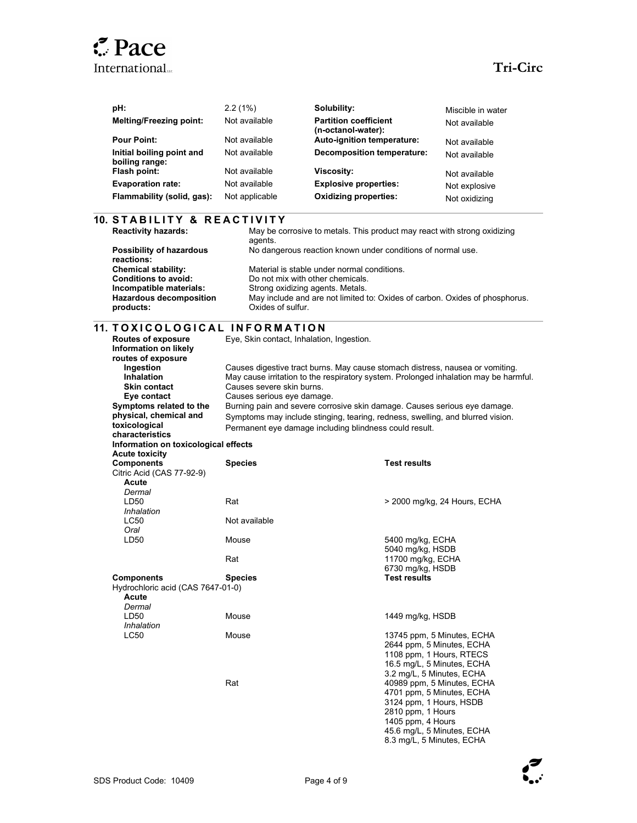| pH:                                         | 2.2(1%)        | Solubility:                                        | Miscible in water |
|---------------------------------------------|----------------|----------------------------------------------------|-------------------|
| <b>Melting/Freezing point:</b>              | Not available  | <b>Partition coefficient</b><br>(n-octanol-water): | Not available     |
| <b>Pour Point:</b>                          | Not available  | Auto-ignition temperature:                         | Not available     |
| Initial boiling point and<br>boiling range: | Not available  | Decomposition temperature:                         | Not available     |
| Flash point:                                | Not available  | <b>Viscosity:</b>                                  | Not available     |
| <b>Evaporation rate:</b>                    | Not available  | <b>Explosive properties:</b>                       | Not explosive     |
| Flammability (solid, gas):                  | Not applicable | <b>Oxidizing properties:</b>                       | Not oxidizing     |

| <b>10. STABILITY &amp; REACTIVITY</b><br><b>Reactivity hazards:</b>      |                                                                      | May be corrosive to metals. This product may react with strong oxidizing                                                                                              |  |  |
|--------------------------------------------------------------------------|----------------------------------------------------------------------|-----------------------------------------------------------------------------------------------------------------------------------------------------------------------|--|--|
| <b>Possibility of hazardous</b><br>reactions:                            | agents.                                                              | No dangerous reaction known under conditions of normal use.                                                                                                           |  |  |
| <b>Chemical stability:</b>                                               |                                                                      | Material is stable under normal conditions.                                                                                                                           |  |  |
| <b>Conditions to avoid:</b><br>Incompatible materials:                   | Do not mix with other chemicals.<br>Strong oxidizing agents. Metals. |                                                                                                                                                                       |  |  |
| <b>Hazardous decomposition</b><br>products:                              | Oxides of sulfur.                                                    | May include and are not limited to: Oxides of carbon. Oxides of phosphorus.                                                                                           |  |  |
|                                                                          | 11. TOXICOLOGICAL INFORMATION                                        |                                                                                                                                                                       |  |  |
| <b>Routes of exposure</b><br>Information on likely<br>routes of exposure | Eye, Skin contact, Inhalation, Ingestion.                            |                                                                                                                                                                       |  |  |
| Ingestion<br><b>Inhalation</b><br><b>Skin contact</b>                    | Causes severe skin burns.                                            | Causes digestive tract burns. May cause stomach distress, nausea or vomiting.<br>May cause irritation to the respiratory system. Prolonged inhalation may be harmful. |  |  |
| Eye contact                                                              | Causes serious eye damage.                                           |                                                                                                                                                                       |  |  |
| Symptoms related to the                                                  |                                                                      | Burning pain and severe corrosive skin damage. Causes serious eye damage.                                                                                             |  |  |
| physical, chemical and                                                   |                                                                      | Symptoms may include stinging, tearing, redness, swelling, and blurred vision.                                                                                        |  |  |
| toxicological                                                            |                                                                      | Permanent eye damage including blindness could result.                                                                                                                |  |  |
| characteristics                                                          |                                                                      |                                                                                                                                                                       |  |  |
| Information on toxicological effects<br><b>Acute toxicity</b>            |                                                                      |                                                                                                                                                                       |  |  |
| <b>Components</b>                                                        | <b>Species</b>                                                       | <b>Test results</b>                                                                                                                                                   |  |  |
| Citric Acid (CAS 77-92-9)<br>Acute<br>Dermal                             |                                                                      |                                                                                                                                                                       |  |  |
| LD50<br>Inhalation                                                       | Rat                                                                  | > 2000 mg/kg, 24 Hours, ECHA                                                                                                                                          |  |  |
| <b>LC50</b><br>Oral                                                      | Not available                                                        |                                                                                                                                                                       |  |  |
| LD50                                                                     | Mouse                                                                | 5400 mg/kg, ECHA                                                                                                                                                      |  |  |
|                                                                          | Rat                                                                  | 5040 mg/kg, HSDB<br>11700 mg/kg, ECHA                                                                                                                                 |  |  |
|                                                                          |                                                                      | 6730 mg/kg, HSDB                                                                                                                                                      |  |  |
| <b>Components</b><br>Hydrochloric acid (CAS 7647-01-0)                   | <b>Species</b>                                                       | <b>Test results</b>                                                                                                                                                   |  |  |
| Acute<br>Dermal                                                          |                                                                      |                                                                                                                                                                       |  |  |
| LD50<br>Inhalation                                                       | Mouse                                                                | 1449 mg/kg, HSDB                                                                                                                                                      |  |  |
| <b>LC50</b>                                                              | Mouse                                                                | 13745 ppm, 5 Minutes, ECHA<br>2644 ppm, 5 Minutes, ECHA                                                                                                               |  |  |
|                                                                          |                                                                      | 1108 ppm, 1 Hours, RTECS<br>16.5 mg/L, 5 Minutes, ECHA<br>3.2 mg/L, 5 Minutes, ECHA                                                                                   |  |  |
|                                                                          | Rat                                                                  | 40989 ppm, 5 Minutes, ECHA<br>4701 ppm, 5 Minutes, ECHA<br>3124 ppm, 1 Hours, HSDB<br>2810 ppm, 1 Hours<br>1405 ppm, 4 Hours<br>45.6 mg/L, 5 Minutes, ECHA            |  |  |



8.3 mg/L, 5 Minutes, ECHA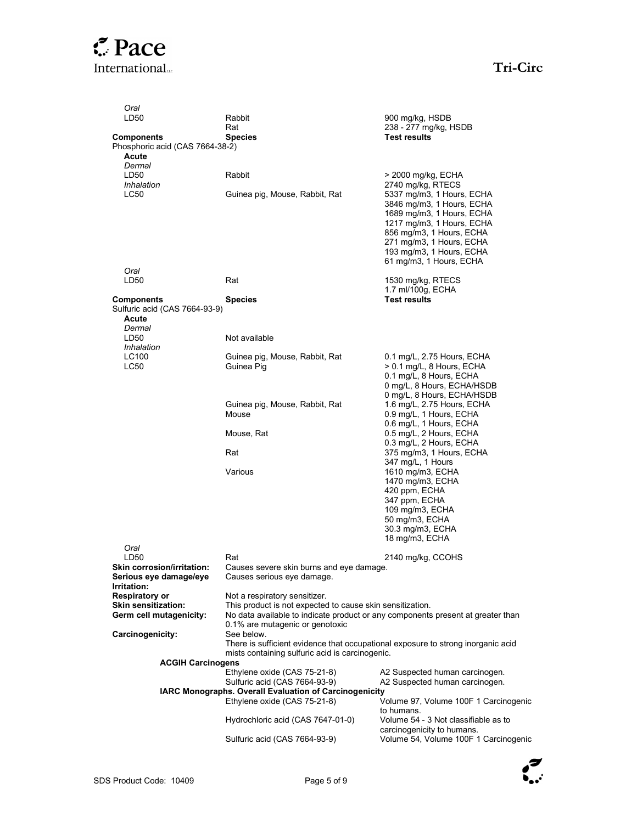| Oral                                                |                                                                                            |                                                                                  |
|-----------------------------------------------------|--------------------------------------------------------------------------------------------|----------------------------------------------------------------------------------|
| LD50                                                | Rabbit<br>Rat                                                                              | 900 mg/kg, HSDB<br>238 - 277 mg/kg, HSDB                                         |
| <b>Components</b>                                   | <b>Species</b>                                                                             | <b>Test results</b>                                                              |
| Phosphoric acid (CAS 7664-38-2)                     |                                                                                            |                                                                                  |
| Acute<br>Dermal                                     |                                                                                            |                                                                                  |
| LD50                                                | Rabbit                                                                                     | > 2000 mg/kg, ECHA                                                               |
| Inhalation                                          |                                                                                            | 2740 mg/kg, RTECS                                                                |
| LC50                                                | Guinea pig, Mouse, Rabbit, Rat                                                             | 5337 mg/m3, 1 Hours, ECHA                                                        |
|                                                     |                                                                                            | 3846 mg/m3, 1 Hours, ECHA<br>1689 mg/m3, 1 Hours, ECHA                           |
|                                                     |                                                                                            | 1217 mg/m3, 1 Hours, ECHA                                                        |
|                                                     |                                                                                            | 856 mg/m3, 1 Hours, ECHA                                                         |
|                                                     |                                                                                            | 271 mg/m3, 1 Hours, ECHA                                                         |
|                                                     |                                                                                            | 193 mg/m3, 1 Hours, ECHA<br>61 mg/m3, 1 Hours, ECHA                              |
| Oral                                                |                                                                                            |                                                                                  |
| LD50                                                | Rat                                                                                        | 1530 mg/kg, RTECS                                                                |
|                                                     |                                                                                            | 1.7 ml/100g, ECHA                                                                |
| <b>Components</b><br>Sulfuric acid (CAS 7664-93-9)  | <b>Species</b>                                                                             | <b>Test results</b>                                                              |
| Acute                                               |                                                                                            |                                                                                  |
| Dermal                                              |                                                                                            |                                                                                  |
| LD50                                                | Not available                                                                              |                                                                                  |
| Inhalation<br>LC100                                 | Guinea pig, Mouse, Rabbit, Rat                                                             | 0.1 mg/L, 2.75 Hours, ECHA                                                       |
| <b>LC50</b>                                         | Guinea Pig                                                                                 | > 0.1 mg/L, 8 Hours, ECHA                                                        |
|                                                     |                                                                                            | 0.1 mg/L, 8 Hours, ECHA                                                          |
|                                                     |                                                                                            | 0 mg/L, 8 Hours, ECHA/HSDB<br>0 mg/L, 8 Hours, ECHA/HSDB                         |
|                                                     | Guinea pig, Mouse, Rabbit, Rat                                                             | 1.6 mg/L, 2.75 Hours, ECHA                                                       |
|                                                     | Mouse                                                                                      | 0.9 mg/L, 1 Hours, ECHA                                                          |
|                                                     |                                                                                            | 0.6 mg/L, 1 Hours, ECHA<br>0.5 mg/L, 2 Hours, ECHA                               |
|                                                     | Mouse, Rat                                                                                 | 0.3 mg/L, 2 Hours, ECHA                                                          |
|                                                     | Rat                                                                                        | 375 mg/m3, 1 Hours, ECHA                                                         |
|                                                     |                                                                                            | 347 mg/L, 1 Hours                                                                |
|                                                     | Various                                                                                    | 1610 mg/m3, ECHA<br>1470 mg/m3, ECHA                                             |
|                                                     |                                                                                            | 420 ppm, ECHA                                                                    |
|                                                     |                                                                                            | 347 ppm, ECHA                                                                    |
|                                                     |                                                                                            | 109 mg/m3, ECHA<br>50 mg/m3, ECHA                                                |
|                                                     |                                                                                            | 30.3 mg/m3, ECHA                                                                 |
|                                                     |                                                                                            | 18 mg/m3, ECHA                                                                   |
| Oral<br>LD50                                        |                                                                                            |                                                                                  |
| Skin corrosion/irritation:                          | Rat<br>Causes severe skin burns and eye damage.                                            | 2140 mg/kg, CCOHS                                                                |
| Serious eye damage/eye                              | Causes serious eye damage.                                                                 |                                                                                  |
| Irritation:                                         |                                                                                            |                                                                                  |
| <b>Respiratory or</b><br><b>Skin sensitization:</b> | Not a respiratory sensitizer.<br>This product is not expected to cause skin sensitization. |                                                                                  |
| Germ cell mutagenicity:                             |                                                                                            | No data available to indicate product or any components present at greater than  |
|                                                     | 0.1% are mutagenic or genotoxic                                                            |                                                                                  |
| Carcinogenicity:                                    | See below.                                                                                 |                                                                                  |
|                                                     | mists containing sulfuric acid is carcinogenic.                                            | There is sufficient evidence that occupational exposure to strong inorganic acid |
| <b>ACGIH Carcinogens</b>                            |                                                                                            |                                                                                  |
|                                                     | Ethylene oxide (CAS 75-21-8)                                                               | A2 Suspected human carcinogen.                                                   |
|                                                     | Sulfuric acid (CAS 7664-93-9)<br>IARC Monographs. Overall Evaluation of Carcinogenicity    | A2 Suspected human carcinogen.                                                   |
|                                                     | Ethylene oxide (CAS 75-21-8)                                                               | Volume 97, Volume 100F 1 Carcinogenic                                            |
|                                                     |                                                                                            | to humans.                                                                       |
|                                                     | Hydrochloric acid (CAS 7647-01-0)                                                          | Volume 54 - 3 Not classifiable as to                                             |
|                                                     | Sulfuric acid (CAS 7664-93-9)                                                              | carcinogenicity to humans.<br>Volume 54, Volume 100F 1 Carcinogenic              |
|                                                     |                                                                                            |                                                                                  |

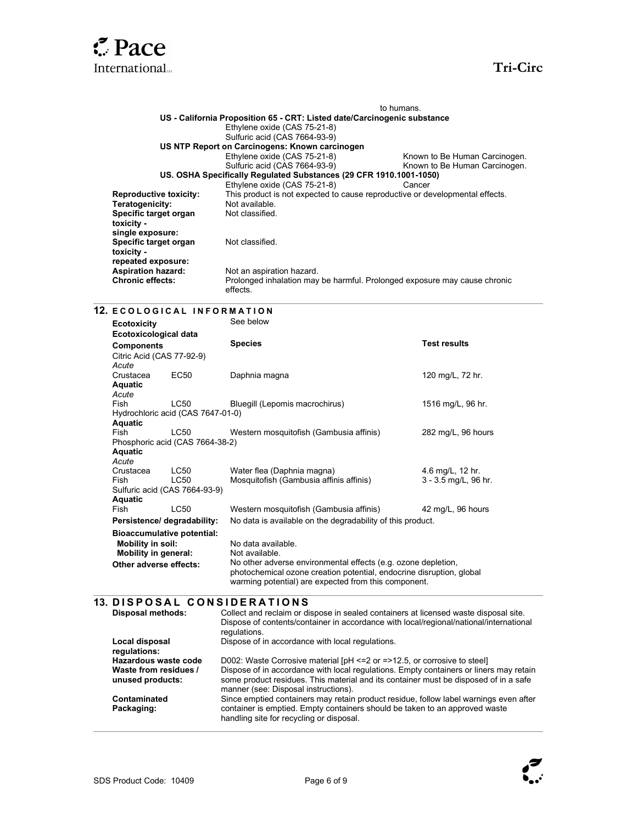

 $\overline{a}$ 

|                               | to humans.                                                                   |                               |  |  |
|-------------------------------|------------------------------------------------------------------------------|-------------------------------|--|--|
|                               | US - California Proposition 65 - CRT: Listed date/Carcinogenic substance     |                               |  |  |
|                               | Ethylene oxide (CAS 75-21-8)                                                 |                               |  |  |
|                               | Sulfuric acid (CAS 7664-93-9)                                                |                               |  |  |
|                               | US NTP Report on Carcinogens: Known carcinogen                               |                               |  |  |
|                               | Ethylene oxide (CAS 75-21-8)                                                 | Known to Be Human Carcinogen. |  |  |
|                               | Sulfuric acid (CAS 7664-93-9)                                                | Known to Be Human Carcinogen. |  |  |
|                               | US. OSHA Specifically Regulated Substances (29 CFR 1910.1001-1050)           |                               |  |  |
|                               | Ethylene oxide (CAS 75-21-8)                                                 | Cancer                        |  |  |
| <b>Reproductive toxicity:</b> | This product is not expected to cause reproductive or developmental effects. |                               |  |  |
| Teratogenicity:               | Not available.                                                               |                               |  |  |
| Specific target organ         | Not classified.                                                              |                               |  |  |
| toxicity -                    |                                                                              |                               |  |  |
| single exposure:              |                                                                              |                               |  |  |
| Specific target organ         | Not classified.                                                              |                               |  |  |
| toxicity -                    |                                                                              |                               |  |  |
| repeated exposure:            |                                                                              |                               |  |  |
| <b>Aspiration hazard:</b>     | Not an aspiration hazard.                                                    |                               |  |  |
| <b>Chronic effects:</b>       | Prolonged inhalation may be harmful. Prolonged exposure may cause chronic    |                               |  |  |
|                               | effects.                                                                     |                               |  |  |

### 12. E COLOGICAL INFORMATION

| <b>Ecotoxicity</b>                |                                   | See below                                                                                                                                                                                     |                      |  |
|-----------------------------------|-----------------------------------|-----------------------------------------------------------------------------------------------------------------------------------------------------------------------------------------------|----------------------|--|
| Ecotoxicological data             |                                   |                                                                                                                                                                                               |                      |  |
| <b>Components</b>                 |                                   | <b>Species</b>                                                                                                                                                                                | <b>Test results</b>  |  |
| Citric Acid (CAS 77-92-9)         |                                   |                                                                                                                                                                                               |                      |  |
| Acute                             |                                   |                                                                                                                                                                                               |                      |  |
| Crustacea                         | EC50                              | Daphnia magna                                                                                                                                                                                 | 120 mg/L, 72 hr.     |  |
| <b>Aquatic</b>                    |                                   |                                                                                                                                                                                               |                      |  |
| Acute                             |                                   |                                                                                                                                                                                               |                      |  |
| Fish                              | <b>LC50</b>                       | Bluegill (Lepomis macrochirus)                                                                                                                                                                | 1516 mg/L, 96 hr.    |  |
|                                   | Hydrochloric acid (CAS 7647-01-0) |                                                                                                                                                                                               |                      |  |
| Aquatic                           |                                   |                                                                                                                                                                                               |                      |  |
| Fish                              | LC50                              | Western mosquitofish (Gambusia affinis)                                                                                                                                                       | 282 mg/L, 96 hours   |  |
|                                   | Phosphoric acid (CAS 7664-38-2)   |                                                                                                                                                                                               |                      |  |
| Aquatic<br>Acute                  |                                   |                                                                                                                                                                                               |                      |  |
| Crustacea                         | <b>LC50</b>                       | Water flea (Daphnia magna)                                                                                                                                                                    | 4.6 mg/L, 12 hr.     |  |
| Fish                              | LC50                              | Mosquitofish (Gambusia affinis affinis)                                                                                                                                                       | 3 - 3.5 mg/L, 96 hr. |  |
|                                   | Sulfuric acid (CAS 7664-93-9)     |                                                                                                                                                                                               |                      |  |
| <b>Aquatic</b>                    |                                   |                                                                                                                                                                                               |                      |  |
| <b>Fish</b>                       | LC50                              | Western mosquitofish (Gambusia affinis)                                                                                                                                                       | 42 mg/L, 96 hours    |  |
| Persistence/degradability:        |                                   | No data is available on the degradability of this product.                                                                                                                                    |                      |  |
| <b>Bioaccumulative potential:</b> |                                   |                                                                                                                                                                                               |                      |  |
| Mobility in soil:                 |                                   | No data available.                                                                                                                                                                            |                      |  |
| <b>Mobility in general:</b>       |                                   | Not available.                                                                                                                                                                                |                      |  |
| Other adverse effects:            |                                   | No other adverse environmental effects (e.g. ozone depletion,<br>photochemical ozone creation potential, endocrine disruption, global<br>warming potential) are expected from this component. |                      |  |

## 13. DISPOSAL CONSIDERATIONS

| <b>Disposal methods:</b>                  | Collect and reclaim or dispose in sealed containers at licensed waste disposal site.<br>Dispose of contents/container in accordance with local/regional/national/international<br>regulations.                         |
|-------------------------------------------|------------------------------------------------------------------------------------------------------------------------------------------------------------------------------------------------------------------------|
| Local disposal<br>regulations:            | Dispose of in accordance with local regulations.                                                                                                                                                                       |
| Hazardous waste code                      | D002: Waste Corrosive material [pH <= 2 or = > 12.5, or corrosive to steel]                                                                                                                                            |
| Waste from residues /<br>unused products: | Dispose of in accordance with local regulations. Empty containers or liners may retain<br>some product residues. This material and its container must be disposed of in a safe<br>manner (see: Disposal instructions). |
| Contaminated                              | Since emptied containers may retain product residue, follow label warnings even after                                                                                                                                  |
| Packaging:                                | container is emptied. Empty containers should be taken to an approved waste<br>handling site for recycling or disposal.                                                                                                |

 $\overline{\phantom{a}}$ 

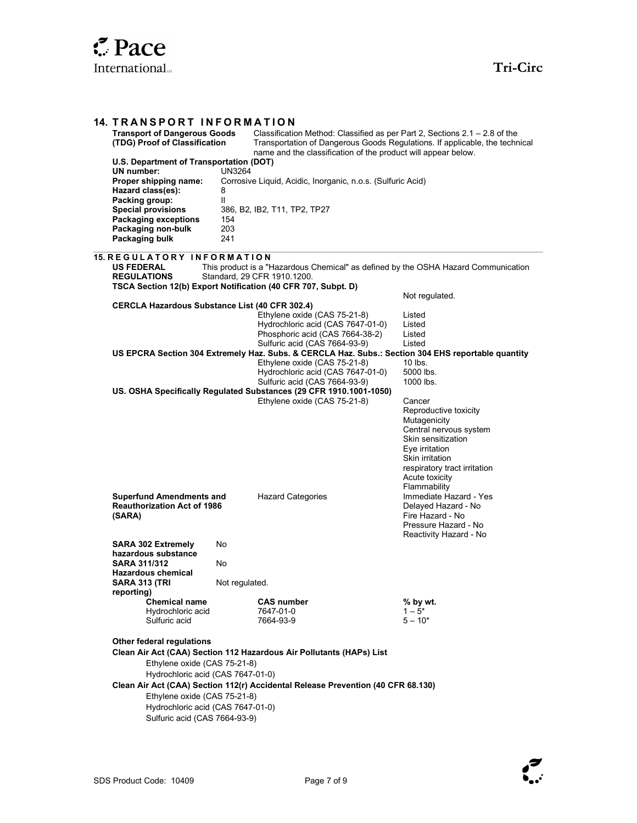| <b>14. TRANSPORT INFORMATION</b><br><b>Transport of Dangerous Goods</b><br>(TDG) Proof of Classification                       |                         | Classification Method: Classified as per Part 2, Sections $2.1 - 2.8$ of the<br>Transportation of Dangerous Goods Regulations. If applicable, the technical<br>name and the classification of the product will appear below. |                                                                                                                                                                                        |
|--------------------------------------------------------------------------------------------------------------------------------|-------------------------|------------------------------------------------------------------------------------------------------------------------------------------------------------------------------------------------------------------------------|----------------------------------------------------------------------------------------------------------------------------------------------------------------------------------------|
| U.S. Department of Transportation (DOT)<br><b>UN</b> number:<br>Proper shipping name:<br>Hazard class(es):<br>Packing group:   | <b>UN3264</b><br>8<br>Ш | Corrosive Liquid, Acidic, Inorganic, n.o.s. (Sulfuric Acid)                                                                                                                                                                  |                                                                                                                                                                                        |
| <b>Special provisions</b><br><b>Packaging exceptions</b><br>Packaging non-bulk<br>Packaging bulk                               | 154<br>203<br>241       | 386, B2, IB2, T11, TP2, TP27                                                                                                                                                                                                 |                                                                                                                                                                                        |
| 15. REGULATORY INFORMATION<br><b>US FEDERAL</b><br><b>REGULATIONS</b>                                                          |                         | This product is a "Hazardous Chemical" as defined by the OSHA Hazard Communication<br>Standard, 29 CFR 1910.1200.<br>TSCA Section 12(b) Export Notification (40 CFR 707, Subpt. D)                                           |                                                                                                                                                                                        |
| CERCLA Hazardous Substance List (40 CFR 302.4)                                                                                 |                         |                                                                                                                                                                                                                              | Not regulated.                                                                                                                                                                         |
|                                                                                                                                |                         | Ethylene oxide (CAS 75-21-8)<br>Hydrochloric acid (CAS 7647-01-0)<br>Phosphoric acid (CAS 7664-38-2)                                                                                                                         | Listed<br>Listed<br>Listed                                                                                                                                                             |
|                                                                                                                                |                         | Sulfuric acid (CAS 7664-93-9)                                                                                                                                                                                                | Listed                                                                                                                                                                                 |
|                                                                                                                                |                         | US EPCRA Section 304 Extremely Haz. Subs. & CERCLA Haz. Subs.: Section 304 EHS reportable quantity                                                                                                                           |                                                                                                                                                                                        |
|                                                                                                                                |                         | Ethylene oxide (CAS 75-21-8)                                                                                                                                                                                                 | $10$ lbs.<br>5000 lbs.                                                                                                                                                                 |
|                                                                                                                                |                         | Hydrochloric acid (CAS 7647-01-0)<br>Sulfuric acid (CAS 7664-93-9)                                                                                                                                                           | 1000 lbs.                                                                                                                                                                              |
|                                                                                                                                |                         | US. OSHA Specifically Regulated Substances (29 CFR 1910.1001-1050)                                                                                                                                                           |                                                                                                                                                                                        |
|                                                                                                                                |                         | Ethylene oxide (CAS 75-21-8)                                                                                                                                                                                                 | Cancer<br>Reproductive toxicity<br>Mutagenicity<br>Central nervous system<br>Skin sensitization<br>Eye irritation<br>Skin irritation<br>respiratory tract irritation<br>Acute toxicity |
| <b>Superfund Amendments and</b><br><b>Reauthorization Act of 1986</b><br>(SARA)                                                |                         | <b>Hazard Categories</b>                                                                                                                                                                                                     | Flammability<br>Immediate Hazard - Yes<br>Delayed Hazard - No<br>Fire Hazard - No<br>Pressure Hazard - No                                                                              |
| <b>SARA 302 Extremely</b>                                                                                                      | No                      |                                                                                                                                                                                                                              | Reactivity Hazard - No                                                                                                                                                                 |
| hazardous substance<br><b>SARA 311/312</b>                                                                                     | No                      |                                                                                                                                                                                                                              |                                                                                                                                                                                        |
| <b>Hazardous chemical</b><br>SARA 313 (TRI                                                                                     | Not regulated.          |                                                                                                                                                                                                                              |                                                                                                                                                                                        |
| reporting)                                                                                                                     |                         |                                                                                                                                                                                                                              |                                                                                                                                                                                        |
| <b>Chemical name</b><br>Hydrochloric acid<br>Sulfuric acid                                                                     |                         | <b>CAS number</b><br>7647-01-0<br>7664-93-9                                                                                                                                                                                  | % by wt.<br>$1 - 5^*$<br>$5 - 10*$                                                                                                                                                     |
| Other federal regulations<br>Ethylene oxide (CAS 75-21-8)<br>Hydrochloric acid (CAS 7647-01-0)<br>Ethylene oxide (CAS 75-21-8) |                         | Clean Air Act (CAA) Section 112 Hazardous Air Pollutants (HAPs) List<br>Clean Air Act (CAA) Section 112(r) Accidental Release Prevention (40 CFR 68.130)                                                                     |                                                                                                                                                                                        |
| Hydrochloric acid (CAS 7647-01-0)<br>Sulfuric acid (CAS 7664-93-9)                                                             |                         |                                                                                                                                                                                                                              |                                                                                                                                                                                        |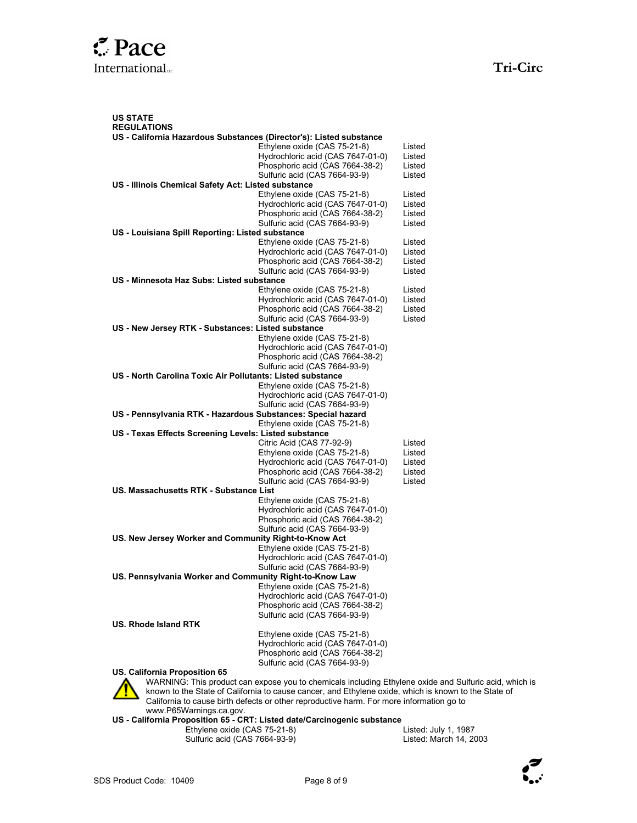US STATE **REGULATIONS** US - California Hazardous Substances (Director's): Listed substance Ethylene oxide (CAS 75-21-8) Listed Hydrochloric acid (CAS 7647-01-0) Listed Phosphoric acid (CAS 7664-38-2) Sulfuric acid (CAS 7664-93-9) Listed US - Illinois Chemical Safety Act: Listed substance Ethylene oxide (CAS 75-21-8) Listed<br>Hydrochloric acid (CAS 7647-01-0) Listed Hydrochloric acid (CAS 7647-01-0) Phosphoric acid (CAS 7664-38-2) Listed Sulfuric acid (CAS 7664-93-9) Listed US - Louisiana Spill Reporting: Listed substance Ethylene oxide (CAS 75-21-8) Listed Hydrochloric acid (CAS 7647-01-0) Listed Phosphoric acid (CAS 7664-38-2) Listed Sulfuric acid (CAS 7664-93-9) Listed US - Minnesota Haz Subs: Listed substance Ethylene oxide (CAS 75-21-8) Listed Hydrochloric acid (CAS 7647-01-0) Listed Phosphoric acid (CAS 7664-38-2) Listed<br>Sulfuric acid (CAS 7664-93-9) Listed Sulfuric acid (CAS 7664-93-9) US - New Jersey RTK - Substances: Listed substance Ethylene oxide (CAS 75-21-8) Hydrochloric acid (CAS 7647-01-0) Phosphoric acid (CAS 7664-38-2) Sulfuric acid (CAS 7664-93-9) US - North Carolina Toxic Air Pollutants: Listed substance Ethylene oxide (CAS 75-21-8) Hydrochloric acid (CAS 7647-01-0) Sulfuric acid (CAS 7664-93-9) US - Pennsylvania RTK - Hazardous Substances: Special hazard Ethylene oxide (CAS 75-21-8) US - Texas Effects Screening Levels: Listed substance Citric Acid (CAS 77-92-9) Listed<br>Ethylene oxide (CAS 75-21-8) Listed Ethylene oxide (CAS 75-21-8) Listed<br>Hydrochloric acid (CAS 7647-01-0) Listed Hydrochloric acid (CAS 7647-01-0) Phosphoric acid (CAS 7664-38-2) Listed Sulfuric acid (CAS 7664-93-9) Listed US. Massachusetts RTK - Substance List Ethylene oxide (CAS 75-21-8) Hydrochloric acid (CAS 7647-01-0) Phosphoric acid (CAS 7664-38-2) Sulfuric acid (CAS 7664-93-9) US. New Jersey Worker and Community Right-to-Know Act Ethylene oxide (CAS 75-21-8) Hydrochloric acid (CAS 7647-01-0) Sulfuric acid (CAS 7664-93-9) US. Pennsylvania Worker and Community Right-to-Know Law Ethylene oxide (CAS 75-21-8) Hydrochloric acid (CAS 7647-01-0) Phosphoric acid (CAS 7664-38-2) Sulfuric acid (CAS 7664-93-9) US. Rhode Island RTK Ethylene oxide (CAS 75-21-8) Hydrochloric acid (CAS 7647-01-0) Phosphoric acid (CAS 7664-38-2) Sulfuric acid (CAS 7664-93-9)

US. California Proposition 65



WARNING: This product can expose you to chemicals including Ethylene oxide and Sulfuric acid, which is known to the State of California to cause cancer, and Ethylene oxide, which is known to the State of California to cause birth defects or other reproductive harm. For more information go to www.P65Warnings.ca.gov.

US - California Proposition 65 - CRT: Listed date/Carcinogenic substance

- Ethylene oxide (CAS 75-21-8) Listed: July 1, 1987
- Sulfuric acid (CAS 7664-93-9)